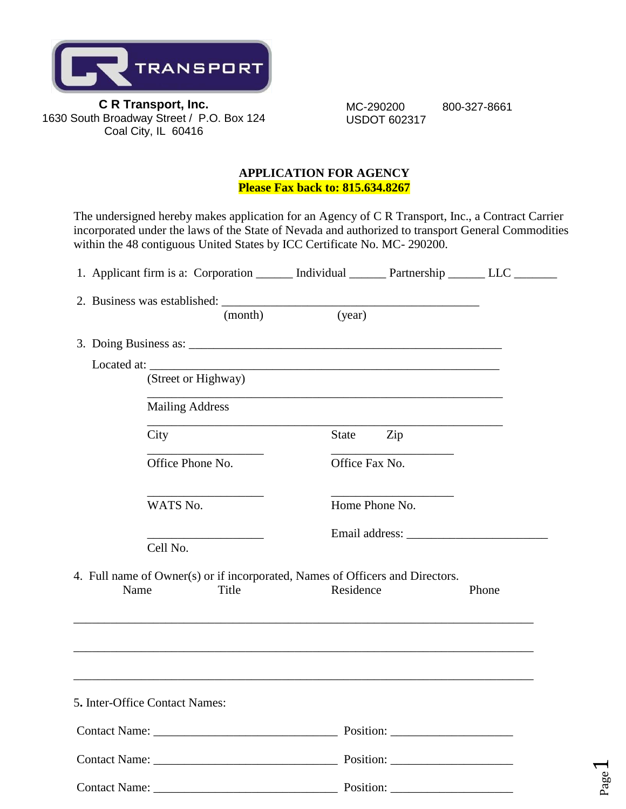

 MC-290200 800-327-8661 USDOT 602317

Page  $\blacktriangleleft$ 

#### **APPLICATION FOR AGENCY Please Fax back to: 815.634.8267**

The undersigned hereby makes application for an Agency of C R Transport, Inc., a Contract Carrier incorporated under the laws of the State of Nevada and authorized to transport General Commodities within the 48 contiguous United States by ICC Certificate No. MC- 290200.

|                      | 1. Applicant firm is a: Corporation ________ Individual ________ Partnership _______ LLC _______                 |           |                |       |
|----------------------|------------------------------------------------------------------------------------------------------------------|-----------|----------------|-------|
|                      |                                                                                                                  |           |                |       |
|                      | (month)                                                                                                          | (year)    |                |       |
|                      |                                                                                                                  |           |                |       |
|                      | (Street or Highway)                                                                                              |           |                |       |
|                      | <b>Mailing Address</b>                                                                                           |           |                |       |
|                      | City                                                                                                             | State     | Zip            |       |
|                      | Office Phone No.                                                                                                 |           | Office Fax No. |       |
|                      | WATS No.                                                                                                         |           | Home Phone No. |       |
|                      | the control of the control of the control of<br>Cell No.                                                         |           |                |       |
|                      | 4. Full name of Owner(s) or if incorporated, Names of Officers and Directors.                                    |           |                |       |
|                      | Name<br>Title                                                                                                    | Residence |                | Phone |
|                      | and the control of the control of the control of the control of the control of the control of the control of the |           |                |       |
|                      | 5. Inter-Office Contact Names:                                                                                   |           |                |       |
|                      |                                                                                                                  |           |                |       |
|                      |                                                                                                                  |           |                |       |
| <b>Contact Name:</b> |                                                                                                                  | Position: |                |       |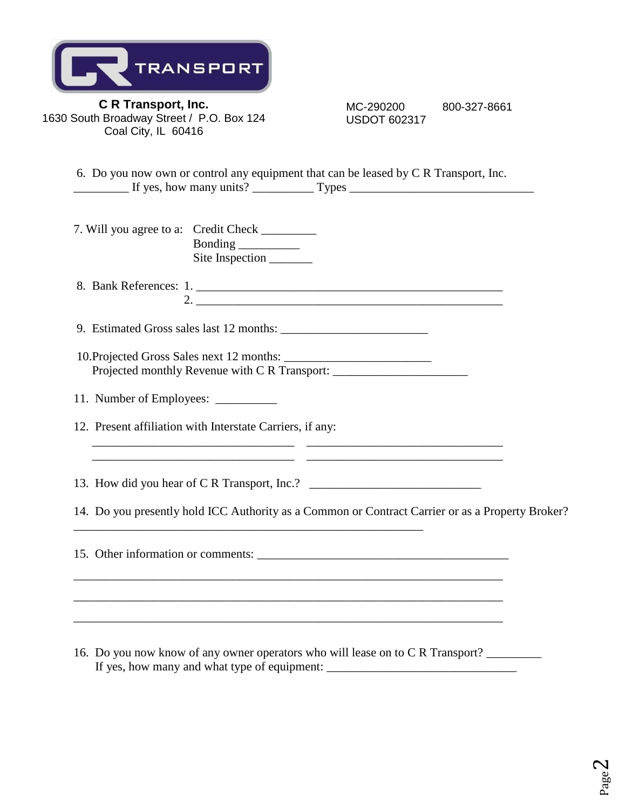| TRANSPORT |
|-----------|
|-----------|

 MC-290200 800-327-8661 USDOT 602317

6. Do you now own or control any equipment that can be leased by C R Transport, Inc. \_\_\_\_\_\_\_\_\_ If yes, how many units? \_\_\_\_\_\_\_\_\_\_ Types \_\_\_\_\_\_\_\_\_\_\_\_\_\_\_\_\_\_\_\_\_\_\_\_\_\_\_\_\_\_

| 7. Will you agree to a: Credit Check |                                  |
|--------------------------------------|----------------------------------|
|                                      | Bonding $\overline{\phantom{a}}$ |
|                                      | Site Inspection                  |

8. Bank References: 1. \_\_\_\_\_\_\_\_\_\_\_\_\_\_\_\_\_\_\_\_\_\_\_\_\_\_\_\_\_\_\_\_\_\_\_\_\_\_\_\_\_\_\_\_\_\_\_\_\_\_ 2. \_\_\_\_\_\_\_\_\_\_\_\_\_\_\_\_\_\_\_\_\_\_\_\_\_\_\_\_\_\_\_\_\_\_\_\_\_\_\_\_\_\_\_\_\_\_\_\_\_\_

9. Estimated Gross sales last 12 months: \_\_\_\_\_\_\_\_\_\_\_\_\_\_\_\_\_\_\_\_\_\_\_\_

- 10.Projected Gross Sales next 12 months: \_\_\_\_\_\_\_\_\_\_\_\_\_\_\_\_\_\_\_\_\_\_\_\_ Projected monthly Revenue with C R Transport: \_\_\_\_\_\_\_\_\_\_\_\_\_\_\_\_\_\_\_\_\_\_\_\_\_\_\_\_\_\_\_\_\_\_
- 11. Number of Employees: \_\_\_\_\_\_\_\_\_\_
- 12. Present affiliation with Interstate Carriers, if any:

13. How did you hear of C R Transport, Inc.? \_\_\_\_\_\_\_\_\_\_\_\_\_\_\_\_\_\_\_\_\_\_\_\_\_\_\_\_\_\_\_\_\_\_\_

14. Do you presently hold ICC Authority as a Common or Contract Carrier or as a Property Broker?

15. Other information or comments: \_\_\_\_\_\_\_\_\_\_\_\_\_\_\_\_\_\_\_\_\_\_\_\_\_\_\_\_\_\_\_\_\_\_\_\_\_\_\_\_\_

\_\_\_\_\_\_\_\_\_\_\_\_\_\_\_\_\_\_\_\_\_\_\_\_\_\_\_\_\_\_\_\_\_\_\_\_\_\_\_\_\_\_\_\_\_\_\_\_\_\_\_\_\_\_\_\_\_\_\_\_\_\_\_\_\_\_\_\_\_\_

\_\_\_\_\_\_\_\_\_\_\_\_\_\_\_\_\_\_\_\_\_\_\_\_\_\_\_\_\_\_\_\_\_\_\_\_\_\_\_\_\_\_\_\_\_\_\_\_\_\_\_\_\_\_\_\_\_\_\_\_\_\_\_\_\_\_\_\_\_\_

\_\_\_\_\_\_\_\_\_\_\_\_\_\_\_\_\_\_\_\_\_\_\_\_\_\_\_\_\_\_\_\_\_\_\_\_\_\_\_\_\_\_\_\_\_\_\_\_\_\_\_\_\_\_\_\_\_\_\_\_\_\_\_\_\_\_\_\_\_\_

\_\_\_\_\_\_\_\_\_\_\_\_\_\_\_\_\_\_\_\_\_\_\_\_\_\_\_\_\_\_\_\_\_\_\_\_\_\_\_\_\_\_\_\_\_\_\_\_\_\_\_\_\_\_\_\_\_

 $\overline{\phantom{a}...}$  ,  $\overline{\phantom{a}...}$  ,  $\overline{\phantom{a}...}$  ,  $\overline{\phantom{a}...}$  ,  $\overline{\phantom{a}...}$  ,  $\overline{\phantom{a}...}$  ,  $\overline{\phantom{a}...}$  ,  $\overline{\phantom{a}...}$  ,  $\overline{\phantom{a}...}$  ,  $\overline{\phantom{a}...}$  ,  $\overline{\phantom{a}...}$  ,  $\overline{\phantom{a}...}$  ,  $\overline{\phantom{a}...}$  ,  $\overline{\phantom{a}...}$  $\overline{\phantom{a}...}$  ,  $\overline{\phantom{a}...}$  ,  $\overline{\phantom{a}...}$  ,  $\overline{\phantom{a}...}$  ,  $\overline{\phantom{a}...}$  ,  $\overline{\phantom{a}...}$  ,  $\overline{\phantom{a}...}$  ,  $\overline{\phantom{a}...}$  ,  $\overline{\phantom{a}...}$  ,  $\overline{\phantom{a}...}$  ,  $\overline{\phantom{a}...}$  ,  $\overline{\phantom{a}...}$  ,  $\overline{\phantom{a}...}$  ,  $\overline{\phantom{a}...}$ 

16. Do you now know of any owner operators who will lease on to C R Transport? \_\_\_\_\_\_\_\_\_ If yes, how many and what type of equipment: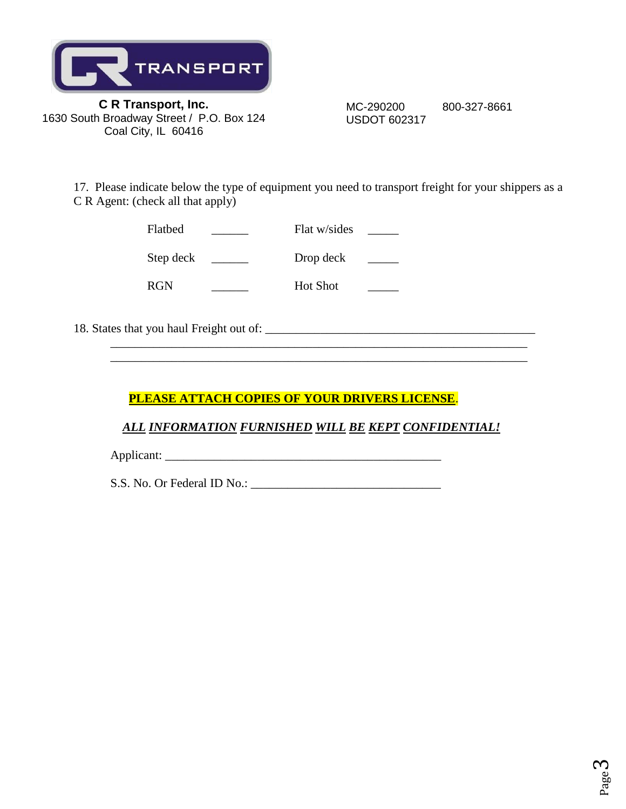

 MC-290200 800-327-8661 USDOT 602317

17. Please indicate below the type of equipment you need to transport freight for your shippers as a C R Agent: (check all that apply)

| Flatbed    | Flat w/sides    |  |
|------------|-----------------|--|
| Step deck  | Drop deck       |  |
| <b>RGN</b> | <b>Hot Shot</b> |  |

18. States that you haul Freight out of: \_\_\_\_\_\_\_\_\_\_\_\_\_\_\_\_\_\_\_\_\_\_\_\_\_\_\_\_\_\_\_\_\_\_\_\_\_\_\_\_\_\_\_\_

# **PLEASE ATTACH COPIES OF YOUR DRIVERS LICENSE**.

## *ALL INFORMATION FURNISHED WILL BE KEPT CONFIDENTIAL!*

 $\_$  ,  $\_$  ,  $\_$  ,  $\_$  ,  $\_$  ,  $\_$  ,  $\_$  ,  $\_$  ,  $\_$  ,  $\_$  ,  $\_$  ,  $\_$  ,  $\_$  ,  $\_$  ,  $\_$  ,  $\_$  ,  $\_$  ,  $\_$  ,  $\_$  ,  $\_$  ,  $\_$  ,  $\_$  ,  $\_$  ,  $\_$  ,  $\_$  ,  $\_$  ,  $\_$  ,  $\_$  ,  $\_$  ,  $\_$  ,  $\_$  ,  $\_$  ,  $\_$  ,  $\_$  ,  $\_$  ,  $\_$  ,  $\_$  ,

Applicant: \_\_\_\_\_\_\_\_\_\_\_\_\_\_\_\_\_\_\_\_\_\_\_\_\_\_\_\_\_\_\_\_\_\_\_\_\_\_\_\_\_\_\_\_\_

S.S. No. Or Federal ID No.: \_\_\_\_\_\_\_\_\_\_\_\_\_\_\_\_\_\_\_\_\_\_\_\_\_\_\_\_\_\_\_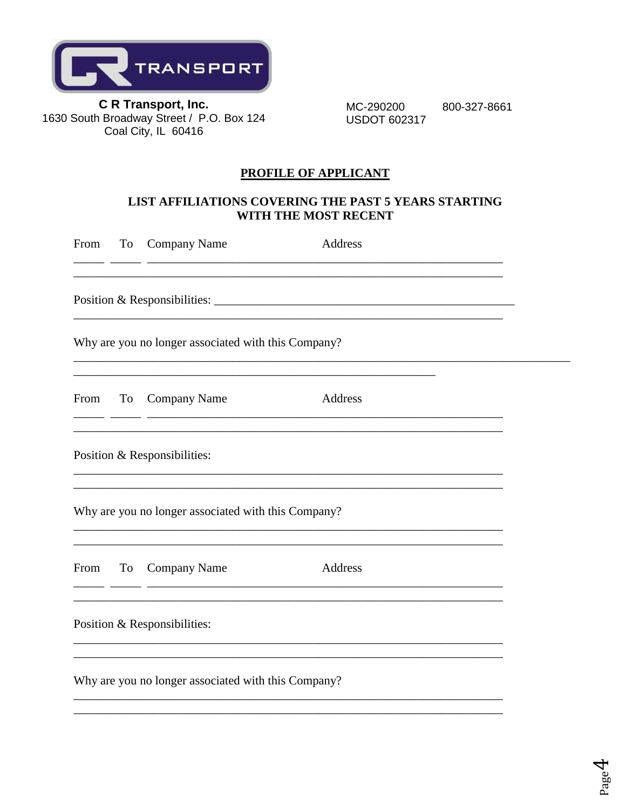

MC-290200 **USDOT 602317** 

800-327-8661

### **PROFILE OF APPLICANT**

### LIST AFFILIATIONS COVERING THE PAST 5 YEARS STARTING WITH THE MOST RECENT

| From | To        | Company Name                                        | <b>Address</b>                                                                    |  |
|------|-----------|-----------------------------------------------------|-----------------------------------------------------------------------------------|--|
|      |           |                                                     |                                                                                   |  |
|      |           | Why are you no longer associated with this Company? |                                                                                   |  |
| From | <b>To</b> | <b>Company Name</b>                                 | Address                                                                           |  |
|      |           | Position & Responsibilities:                        |                                                                                   |  |
|      |           | Why are you no longer associated with this Company? | ,我们也不能在这里的时候,我们也不能在这里的时候,我们也不能会在这里的时候,我们也不能会在这里的时候,我们也不能会在这里的时候,我们也不能会在这里的时候,我们也不 |  |
| From | <b>To</b> | <b>Company Name</b>                                 | Address                                                                           |  |
|      |           | Position & Responsibilities:                        | ,我们也不能在这里的时候,我们也不能在这里的时候,我们也不能会在这里的时候,我们也不能会在这里的时候,我们也不能会在这里的时候,我们也不能会在这里的时候,我们也不 |  |
|      |           | Why are you no longer associated with this Company? |                                                                                   |  |